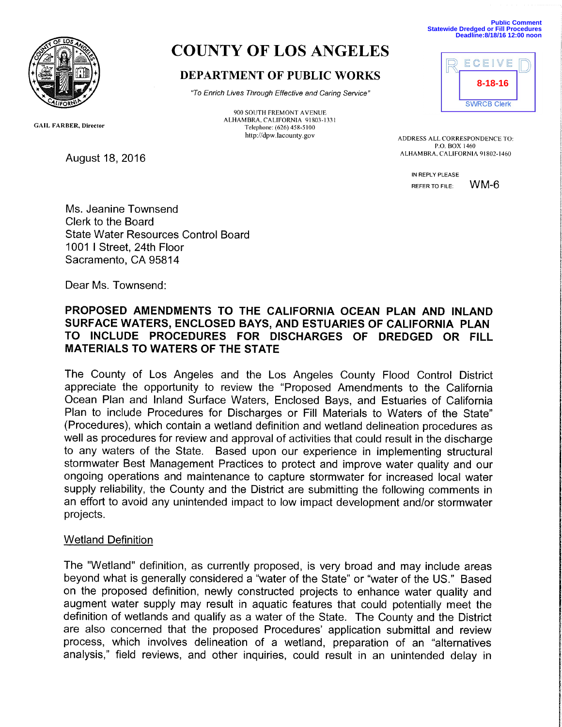

# COUNTY OF LOS ANGELES

## DEPARTMENT OF PUBLIC WORKS

`7o Enrich Lives Through Effective and Caring Service"

900 SOUTH FREMONT AVENUE ALHAMBRA, CALIFORNIA 91803-1331 Telephone: (626) 458-5100

**Public Comment Statewide Dredged or Fill Procedures Deadline:8/18/16 12:00 noon**



http://dpw.lacounty.gov ADDRESS ALL CORRESPONDENCE TO: P.O. BOX 1460<br>ALHAMBRA, CALIFORNIA 91802-1460

> IN REPLY PLEASE REFER TO FILE: WM-6

Ms. Jeanine Townsend Clerk to the Board State Water Resources Control Board 1001 I Street, 24th Floor Sacramento, CA 95814

Dear Ms. Townsend:

August 18, 2016

## PROPOSED AMENDMENTS TO THE CALIFORNIA OCEAN PLAN AND INLAND SURFACE WATERS, ENCLOSED BAYS, AND ESTUARIES OF CALIFORNIA PLAN TO INCLUDE PROCEDURES FOR DISCHARGES OF DREDGED OR FILL MATERIALS TO WATERS OF THE STATE

The County of Los Angeles and the Los Angeles County Flood Control District appreciate the opportunity to review the "Proposed Amendments to the California Ocean Plan and Inland Surface Waters, Enclosed Bays, and Estuaries of California Plan to include Procedures for Discharges or Fill Materials to Waters of the State" (Procedures), which contain a wetland definition and wetland delineation procedures as well as procedures for review and approval of activities that could result in the discharge to any waters of the State. Based upon our experience in implementing structural stormwater Best Management Practices to protect and improve water quality and our ongoing operations and maintenance to capture stormwater for increased local water supply reliability, the County and the District are submitting the following comments in an effort to avoid any unintended impact to low impact development and/or stormwater projects.

## Wetland Definition

The "Wetland" definition, as currently proposed, is very broad and may include areas beyond what is generally considered a "water of the State" or "water of the US." Based on the proposed definition, newly constructed projects to enhance water quality and augment water supply may result in aquatic features that could potentially meet the definition of wetlands and qualify as a water of the State. The County and the District are also concerned that the proposed Procedures' application submittal and review process, which involves delineation of a wetland, preparation of an "alternatives analysis," field reviews, and other inquiries, could result in an unintended delay in

GAIL FARBER, Director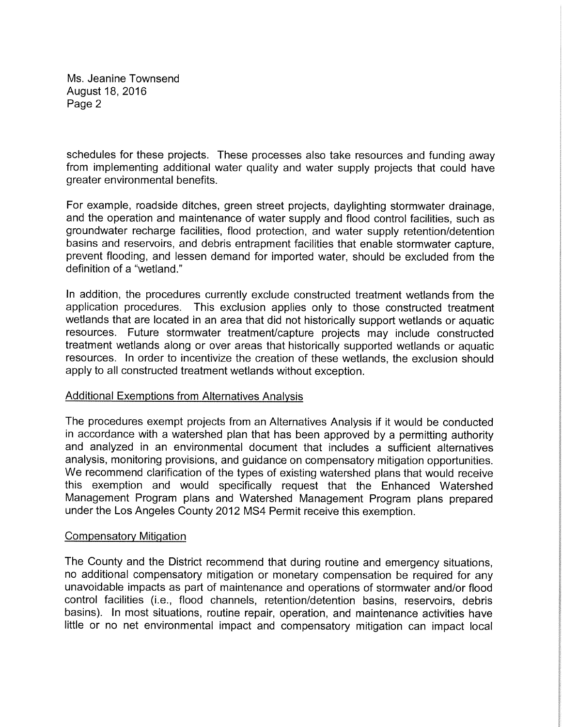Ms. Jeanine Townsend August 18, 2016 Page 2

schedules for these projects. These processes also take resources and funding away from implementing additional water quality and water supply projects that could have greater environmental benefits.

For example, roadside ditches, green street projects, daylighting stormwater drainage, and the operation and maintenance of water supply and flood control facilities, such as groundwater recharge facilities, flood protection, and water supply retention/detention basins and reservoirs, and debris entrapment facilities that enable stormwater capture, prevent flooding, and lessen demand for imported water, should be excluded from the definition of a "wetland."

In addition, the procedures currently exclude constructed treatment wetlands from the application procedures. This exclusion applies only to those constructed treatment wetlands that are located in an area that did not historically support wetlands or aquatic resources. Future stormwater treatment/capture projects may include constructed treatment wetlands along or over areas that historically supported wetlands or aquatic resources. In order to incentivize the creation of these wetlands, the exclusion should apply to all constructed treatment wetlands without exception.

### Additional Exemptions from Alternatives Analysis

The procedures exempt projects from an Alternatives Analysis if it would be conducted in accordance with a watershed plan that has been approved by a permitting authority and analyzed in an environmental document that includes a sufficient alternatives analysis, monitoring provisions, and guidance on compensatory mitigation opportunities. We recommend clarification of the types of existing watershed plans that would receive this exemption and would specifically request that the Enhanced Watershed Management Program plans and Watershed Management Program plans prepared under the Los Angeles County 2012 MS4 Permit receive this exemption.

### Compensatory Mitigation

The County and the District recommend that during routine and emergency situations, no additional compensatory mitigation or monetary compensation be required for any unavoidable impacts as part of maintenance and operations of stormwater and/or flood control facilities (i.e., flood channels, retention/detention basins, reservoirs, debris basins). In most situations, routine repair, operation, and maintenance activities have little or no net environmental impact and compensatory mitigation can impact local